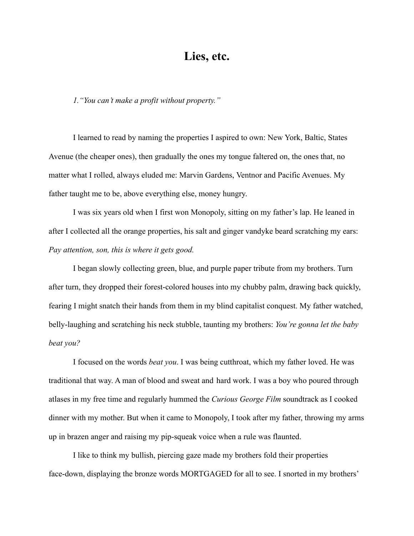## **Lies, etc.**

*1."You can't make a profit without property."*

I learned to read by naming the properties I aspired to own: New York, Baltic, States Avenue (the cheaper ones), then gradually the ones my tongue faltered on, the ones that, no matter what I rolled, always eluded me: Marvin Gardens, Ventnor and Pacific Avenues. My father taught me to be, above everything else, money hungry.

I was six years old when I first won Monopoly, sitting on my father's lap. He leaned in after I collected all the orange properties, his salt and ginger vandyke beard scratching my ears: *Pay attention, son, this is where it gets good.*

I began slowly collecting green, blue, and purple paper tribute from my brothers. Turn after turn, they dropped their forest-colored houses into my chubby palm, drawing back quickly, fearing I might snatch their hands from them in my blind capitalist conquest. My father watched, belly-laughing and scratching his neck stubble, taunting my brothers: *You're gonna let the baby beat you?*

I focused on the words *beat you*. I was being cutthroat, which my father loved. He was traditional that way. A man of blood and sweat and hard work. I was a boy who poured through atlases in my free time and regularly hummed the *Curious George Film* soundtrack as I cooked dinner with my mother. But when it came to Monopoly, I took after my father, throwing my arms up in brazen anger and raising my pip-squeak voice when a rule was flaunted.

I like to think my bullish, piercing gaze made my brothers fold their properties face-down, displaying the bronze words MORTGAGED for all to see. I snorted in my brothers'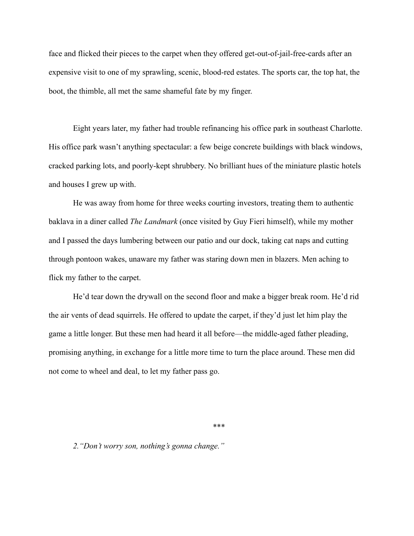face and flicked their pieces to the carpet when they offered get-out-of-jail-free-cards after an expensive visit to one of my sprawling, scenic, blood-red estates. The sports car, the top hat, the boot, the thimble, all met the same shameful fate by my finger.

Eight years later, my father had trouble refinancing his office park in southeast Charlotte. His office park wasn't anything spectacular: a few beige concrete buildings with black windows, cracked parking lots, and poorly-kept shrubbery. No brilliant hues of the miniature plastic hotels and houses I grew up with.

He was away from home for three weeks courting investors, treating them to authentic baklava in a diner called *The Landmark* (once visited by Guy Fieri himself), while my mother and I passed the days lumbering between our patio and our dock, taking cat naps and cutting through pontoon wakes, unaware my father was staring down men in blazers. Men aching to flick my father to the carpet.

He'd tear down the drywall on the second floor and make a bigger break room. He'd rid the air vents of dead squirrels. He offered to update the carpet, if they'd just let him play the game a little longer. But these men had heard it all before—the middle-aged father pleading, promising anything, in exchange for a little more time to turn the place around. These men did not come to wheel and deal, to let my father pass go.

\*\*\*

*2."Don't worry son, nothing's gonna change."*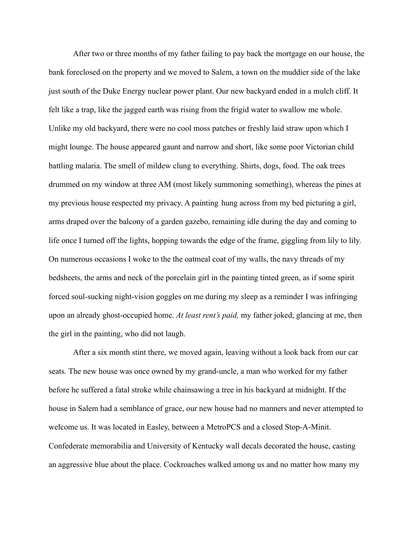After two or three months of my father failing to pay back the mortgage on our house, the bank foreclosed on the property and we moved to Salem, a town on the muddier side of the lake just south of the Duke Energy nuclear power plant. Our new backyard ended in a mulch cliff. It felt like a trap, like the jagged earth was rising from the frigid water to swallow me whole. Unlike my old backyard, there were no cool moss patches or freshly laid straw upon which I might lounge. The house appeared gaunt and narrow and short, like some poor Victorian child battling malaria. The smell of mildew clung to everything. Shirts, dogs, food. The oak trees drummed on my window at three AM (most likely summoning something), whereas the pines at my previous house respected my privacy. A painting hung across from my bed picturing a girl, arms draped over the balcony of a garden gazebo, remaining idle during the day and coming to life once I turned off the lights, hopping towards the edge of the frame, giggling from lily to lily. On numerous occasions I woke to the the oatmeal coat of my walls, the navy threads of my bedsheets, the arms and neck of the porcelain girl in the painting tinted green, as if some spirit forced soul-sucking night-vision goggles on me during my sleep as a reminder I was infringing upon an already ghost-occupied home. *At least rent's paid,* my father joked, glancing at me, then the girl in the painting, who did not laugh.

After a six month stint there, we moved again, leaving without a look back from our car seats*.* The new house was once owned by my grand-uncle, a man who worked for my father before he suffered a fatal stroke while chainsawing a tree in his backyard at midnight. If the house in Salem had a semblance of grace, our new house had no manners and never attempted to welcome us. It was located in Easley, between a MetroPCS and a closed Stop-A-Minit. Confederate memorabilia and University of Kentucky wall decals decorated the house, casting an aggressive blue about the place. Cockroaches walked among us and no matter how many my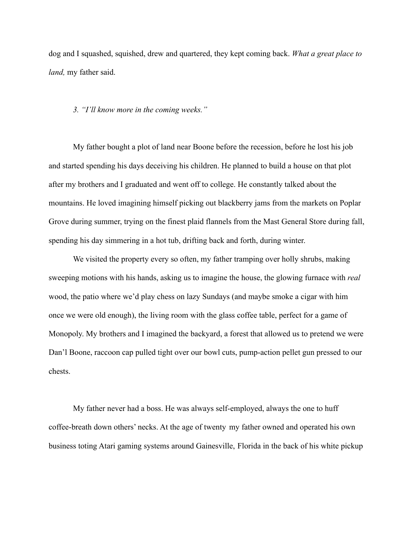dog and I squashed, squished, drew and quartered, they kept coming back. *What a great place to land,* my father said.

## *3. "I'll know more in the coming weeks."*

My father bought a plot of land near Boone before the recession, before he lost his job and started spending his days deceiving his children. He planned to build a house on that plot after my brothers and I graduated and went off to college. He constantly talked about the mountains. He loved imagining himself picking out blackberry jams from the markets on Poplar Grove during summer, trying on the finest plaid flannels from the Mast General Store during fall, spending his day simmering in a hot tub, drifting back and forth, during winter.

We visited the property every so often, my father tramping over holly shrubs, making sweeping motions with his hands, asking us to imagine the house, the glowing furnace with *real* wood, the patio where we'd play chess on lazy Sundays (and maybe smoke a cigar with him once we were old enough), the living room with the glass coffee table, perfect for a game of Monopoly. My brothers and I imagined the backyard, a forest that allowed us to pretend we were Dan'l Boone, raccoon cap pulled tight over our bowl cuts, pump-action pellet gun pressed to our chests.

My father never had a boss. He was always self-employed, always the one to huff coffee-breath down others' necks. At the age of twenty my father owned and operated his own business toting Atari gaming systems around Gainesville, Florida in the back of his white pickup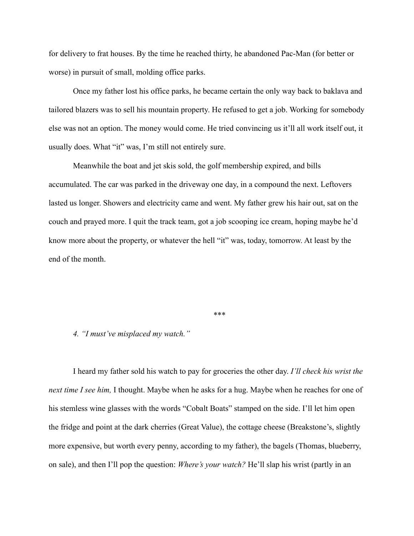for delivery to frat houses. By the time he reached thirty, he abandoned Pac-Man (for better or worse) in pursuit of small, molding office parks.

Once my father lost his office parks, he became certain the only way back to baklava and tailored blazers was to sell his mountain property. He refused to get a job. Working for somebody else was not an option. The money would come. He tried convincing us it'll all work itself out, it usually does. What "it" was, I'm still not entirely sure.

Meanwhile the boat and jet skis sold, the golf membership expired, and bills accumulated. The car was parked in the driveway one day, in a compound the next. Leftovers lasted us longer. Showers and electricity came and went. My father grew his hair out, sat on the couch and prayed more. I quit the track team, got a job scooping ice cream, hoping maybe he'd know more about the property, or whatever the hell "it" was, today, tomorrow. At least by the end of the month.

*\*\*\**

## *4. "I must've misplaced my watch."*

I heard my father sold his watch to pay for groceries the other day. *I'll check his wrist the next time I see him,* I thought. Maybe when he asks for a hug. Maybe when he reaches for one of his stemless wine glasses with the words "Cobalt Boats" stamped on the side. I'll let him open the fridge and point at the dark cherries (Great Value), the cottage cheese (Breakstone's, slightly more expensive, but worth every penny, according to my father), the bagels (Thomas, blueberry, on sale), and then I'll pop the question: *Where's your watch?* He'll slap his wrist (partly in an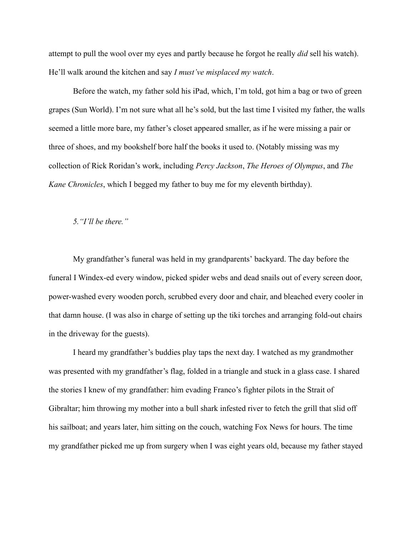attempt to pull the wool over my eyes and partly because he forgot he really *did* sell his watch). He'll walk around the kitchen and say *I must've misplaced my watch*.

Before the watch, my father sold his iPad, which, I'm told, got him a bag or two of green grapes (Sun World). I'm not sure what all he's sold, but the last time I visited my father, the walls seemed a little more bare, my father's closet appeared smaller, as if he were missing a pair or three of shoes, and my bookshelf bore half the books it used to. (Notably missing was my collection of Rick Roridan's work, including *Percy Jackson*, *The Heroes of Olympus*, and *The Kane Chronicles*, which I begged my father to buy me for my eleventh birthday).

*5."I'll be there."*

My grandfather's funeral was held in my grandparents' backyard. The day before the funeral I Windex-ed every window, picked spider webs and dead snails out of every screen door, power-washed every wooden porch, scrubbed every door and chair, and bleached every cooler in that damn house. (I was also in charge of setting up the tiki torches and arranging fold-out chairs in the driveway for the guests).

I heard my grandfather's buddies play taps the next day. I watched as my grandmother was presented with my grandfather's flag, folded in a triangle and stuck in a glass case. I shared the stories I knew of my grandfather: him evading Franco's fighter pilots in the Strait of Gibraltar; him throwing my mother into a bull shark infested river to fetch the grill that slid off his sailboat; and years later, him sitting on the couch, watching Fox News for hours. The time my grandfather picked me up from surgery when I was eight years old, because my father stayed